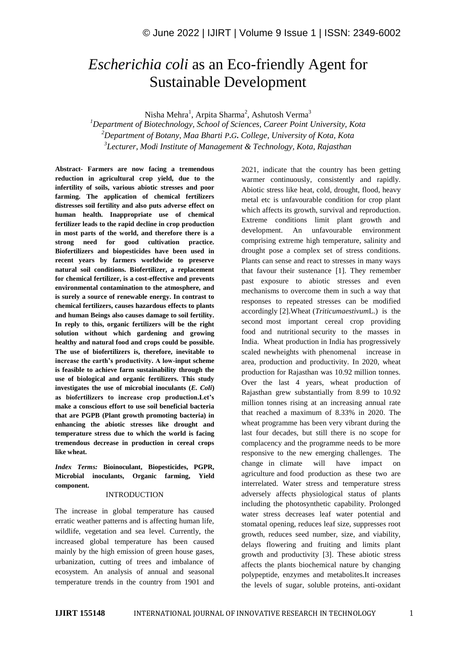# *Escherichia coli* as an Eco-friendly Agent for Sustainable Development

Nisha Mehra<sup>1</sup>, Arpita Sharma<sup>2</sup>, Ashutosh Verma<sup>3</sup>

*<sup>1</sup>Department of Biotechnology, School of Sciences, Career Point University, Kota <sup>2</sup>Department of Botany, Maa Bharti P***.***G***.** *College, University of Kota, Kota 3 Lecturer, Modi Institute of Management & Technology, Kota, Rajasthan*

**Abstract- Farmers are now facing a tremendous reduction in agricultural crop yield, due to the infertility of soils, various abiotic stresses and poor farming. The application of chemical fertilizers distresses soil fertility and also puts adverse effect on human health. Inappropriate use of chemical fertilizer leads to the rapid decline in crop production in most parts of the world, and therefore there is a strong need for good cultivation practice. Biofertilizers and biopesticides have been used in recent years by farmers worldwide to preserve natural soil conditions. Biofertilizer, a replacement for chemical fertilizer, is a cost-effective and prevents environmental contamination to the atmosphere, and is surely a source of renewable energy. In contrast to chemical fertilizers, causes hazardous effects to plants and human Beings also causes damage to soil fertility. In reply to this, organic fertilizers will be the right solution without which gardening and growing healthy and natural food and crops could be possible. The use of biofertilizers is, therefore, inevitable to increase the earth's productivity. A low-input scheme is feasible to achieve farm sustainability through the use of biological and organic fertilizers. This study investigates the use of microbial inoculants (***E. Coli***) as biofertilizers to increase crop production.Let's make a conscious effort to use soil beneficial bacteria that are PGPB (Plant growth promoting bacteria) in enhancing the abiotic stresses like drought and temperature stress due to which the world is facing tremendous decrease in production in cereal crops like wheat.** 

*Index Terms:* **Bioinoculant, Biopesticides, PGPR, Microbial inoculants, Organic farming, Yield component.**

#### INTRODUCTION

The increase in global temperature has caused erratic weather patterns and is affecting human life, wildlife, vegetation and sea level. Currently, the increased global temperature has been caused mainly by the high emission of green house gases, urbanization, cutting of trees and imbalance of ecosystem. An analysis of annual and seasonal temperature trends in the country from 1901 and

2021, indicate that the country has been getting warmer continuously, consistently and rapidly. Abiotic stress like heat, cold, drought, flood, heavy metal etc is unfavourable condition for crop plant which affects its growth, survival and reproduction. Extreme conditions limit plant growth and development. An unfavourable environment comprising extreme high temperature, salinity and drought pose a complex set of stress conditions. Plants can sense and react to stresses in many ways that favour their sustenance [1]. They remember past exposure to abiotic stresses and even mechanisms to overcome them in such a way that responses to repeated stresses can be modified accordingly [2].Wheat (*Triticumaestivum*L.) is the second most important cereal crop providing food and nutritional security to the masses in India. Wheat production in India has progressively scaled newheights with phenomenal increase in area, production and productivity. In 2020, wheat production for Rajasthan was 10.92 million tonnes. Over the last 4 years, wheat production of Rajasthan grew substantially from 8.99 to 10.92 million tonnes rising at an increasing annual rate that reached a maximum of 8.33% in 2020. The wheat programme has been very vibrant during the last four decades, but still there is no scope for complacency and the programme needs to be more responsive to the new emerging challenges. The change in climate will have impact on agriculture and food production as these two are interrelated. Water stress and temperature stress adversely affects physiological status of plants including the photosynthetic capability. Prolonged water stress decreases leaf water potential and stomatal opening, reduces leaf size, suppresses root growth, reduces seed number, size, and viability, delays flowering and fruiting and limits plant growth and productivity [3]. These abiotic stress affects the plants biochemical nature by changing polypeptide, enzymes and metabolites.It increases the levels of sugar, soluble proteins, anti-oxidant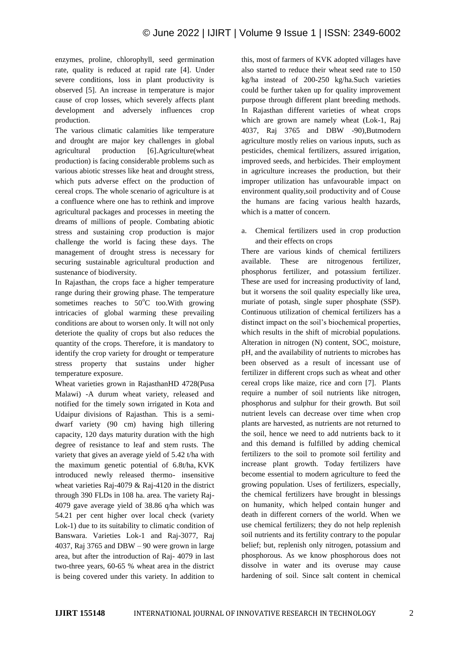enzymes, proline, chlorophyll, seed germination rate, quality is reduced at rapid rate [4]. Under severe conditions, loss in plant productivity is observed [5]. An increase in temperature is major cause of crop losses, which severely affects plant development and adversely influences crop production.

The various climatic calamities like temperature and drought are major key challenges in global agricultural production [6].Agriculture(wheat production) is facing considerable problems such as various abiotic stresses like heat and drought stress, which puts adverse effect on the production of cereal crops. The whole scenario of agriculture is at a confluence where one has to rethink and improve agricultural packages and processes in meeting the dreams of millions of people. Combating abiotic stress and sustaining crop production is major challenge the world is facing these days. The management of drought stress is necessary for securing sustainable agricultural production and sustenance of biodiversity.

In Rajasthan, the crops face a higher temperature range during their growing phase. The temperature sometimes reaches to  $50^{\circ}$ C too. With growing intricacies of global warming these prevailing conditions are about to worsen only. It will not only deteriote the quality of crops but also reduces the quantity of the crops. Therefore, it is mandatory to identify the crop variety for drought or temperature stress property that sustains under higher temperature exposure.

Wheat varieties grown in RajasthanHD 4728(Pusa Malawi) -A durum wheat variety, released and notified for the timely sown irrigated in Kota and Udaipur divisions of Rajasthan. This is a semidwarf variety (90 cm) having high tillering capacity, 120 days maturity duration with the high degree of resistance to leaf and stem rusts. The variety that gives an average yield of 5.42 t/ha with the maximum genetic potential of 6.8t/ha, KVK introduced newly released thermo- insensitive wheat varieties Raj-4079 & Raj-4120 in the district through 390 FLDs in 108 ha. area. The variety Raj-4079 gave average yield of 38.86 q/ha which was 54.21 per cent higher over local check (variety Lok-1) due to its suitability to climatic condition of Banswara. Varieties Lok-1 and Raj-3077, Raj 4037, Raj  $3765$  and DBW – 90 were grown in large area, but after the introduction of Raj- 4079 in last two-three years, 60-65 % wheat area in the district is being covered under this variety. In addition to

this, most of farmers of KVK adopted villages have also started to reduce their wheat seed rate to 150 kg/ha instead of 200-250 kg/ha.Such varieties could be further taken up for quality improvement purpose through different plant breeding methods. In Rajasthan different varieties of wheat crops which are grown are namely wheat (Lok-1, Raj 4037, Raj 3765 and DBW -90),Butmodern agriculture mostly relies on various inputs, such as pesticides, chemical fertilizers, assured irrigation, improved seeds, and herbicides. Their employment in agriculture increases the production, but their improper utilization has unfavourable impact on environment quality,soil productivity and of Couse the humans are facing various health hazards, which is a matter of concern.

a. Chemical fertilizers used in crop production and their effects on crops

There are various kinds of chemical fertilizers available. These are nitrogenous fertilizer, phosphorus fertilizer, and potassium fertilizer. These are used for increasing productivity of land, but it worsens the soil quality especially like urea, muriate of potash, single super phosphate (SSP). Continuous utilization of chemical fertilizers has a distinct impact on the soil's biochemical properties, which results in the shift of microbial populations. Alteration in nitrogen (N) content, SOC, moisture, pH, and the availability of nutrients to microbes has been observed as a result of incessant use of fertilizer in different crops such as wheat and other cereal crops like maize, rice and corn [7]. Plants require a number of soil nutrients like nitrogen, phosphorus and sulphur for their growth. But soil nutrient levels can decrease over time when crop plants are harvested, as nutrients are not returned to the soil, hence we need to add nutrients back to it and this demand is fulfilled by adding chemical fertilizers to the soil to promote soil fertility and increase plant growth. Today fertilizers have become essential to modern agriculture to feed the growing population. Uses of fertilizers, especially, the chemical fertilizers have brought in blessings on humanity, which helped contain hunger and death in different corners of the world. When we use chemical fertilizers; they do not help replenish soil nutrients and its fertility contrary to the popular belief; but, replenish only nitrogen, potassium and phosphorous. As we know phosphorous does not dissolve in water and its overuse may cause hardening of soil. Since salt content in chemical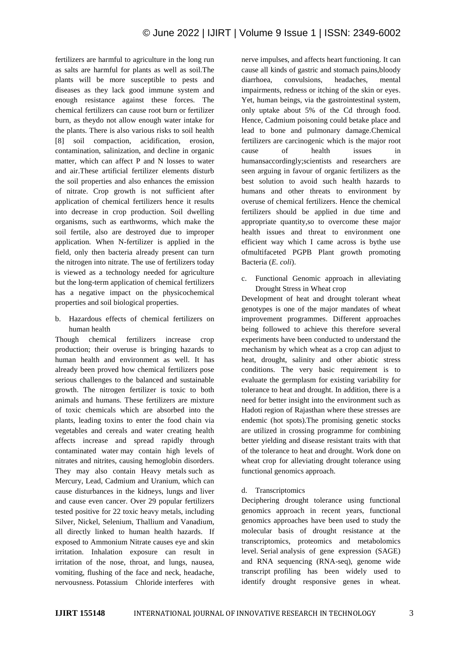fertilizers are harmful to agriculture in the long run as salts are harmful for plants as well as soil.The plants will be more susceptible to pests and diseases as they lack good immune system and enough resistance against these forces. The chemical fertilizers can cause root burn or fertilizer burn, as theydo not allow enough water intake for the plants. There is also various risks to soil health [8] soil compaction, acidification, erosion, contamination, salinization, and decline in organic matter, which can affect P and N losses to water and air.These artificial fertilizer elements disturb the soil properties and also enhances the emission of nitrate. Crop growth is not sufficient after application of chemical fertilizers hence it results into decrease in crop production. Soil dwelling organisms, such as earthworms, which make the soil fertile, also are destroyed due to improper application. When N-fertilizer is applied in the field, only then bacteria already present can turn the nitrogen into nitrate. The use of fertilizers today is viewed as a technology needed for agriculture but the long-term application of chemical fertilizers has a negative impact on the physicochemical properties and soil biological properties.

b. Hazardous effects of chemical fertilizers on human health

Though chemical fertilizers increase crop production; their overuse is bringing hazards to human health and environment as well. It has already been proved how chemical fertilizers pose serious challenges to the balanced and sustainable growth. The nitrogen fertilizer is toxic to both animals and humans. These fertilizers are mixture of toxic chemicals which are absorbed into the plants, leading toxins to enter the food chain via vegetables and cereals and water creating health affects increase and spread rapidly through contaminated water may contain high levels of nitrates and nitrites, causing hemoglobin disorders. They may also contain Heavy metals such as Mercury, Lead, Cadmium and Uranium, which can cause disturbances in the kidneys, lungs and liver and cause even cancer. Over 29 popular fertilizers tested positive for 22 toxic heavy metals, including Silver, Nickel, Selenium, Thallium and Vanadium, all directly linked to human health hazards. If exposed to Ammonium Nitrate causes eye and skin irritation. Inhalation exposure can result in irritation of the nose, throat, and lungs, nausea, vomiting, flushing of the face and neck, headache, nervousness. Potassium Chloride interferes with

nerve impulses, and affects heart functioning. It can cause all kinds of gastric and stomach pains,bloody diarrhoea, convulsions, headaches, mental impairments, redness or itching of the skin or eyes. Yet, human beings, via the gastrointestinal system, only uptake about 5% of the Cd through food. Hence, Cadmium poisoning could betake place and lead to bone and pulmonary damage.Chemical fertilizers are carcinogenic which is the major root cause of health issues in humansaccordingly;scientists and researchers are seen arguing in favour of organic fertilizers as the best solution to avoid such health hazards to humans and other threats to environment by overuse of chemical fertilizers. Hence the chemical fertilizers should be applied in due time and appropriate quantity,so to overcome these major health issues and threat to environment one efficient way which I came across is bythe use ofmultifaceted PGPB Plant growth promoting Bacteria (*E. coli*).

c. Functional Genomic approach in alleviating Drought Stress in Wheat crop

Development of heat and drought tolerant wheat genotypes is one of the major mandates of wheat improvement programmes. Different approaches being followed to achieve this therefore several experiments have been conducted to understand the mechanism by which wheat as a crop can adjust to heat, drought, salinity and other abiotic stress conditions. The very basic requirement is to evaluate the germplasm for existing variability for tolerance to heat and drought. In addition, there is a need for better insight into the environment such as Hadoti region of Rajasthan where these stresses are endemic (hot spots).The promising genetic stocks are utilized in crossing programme for combining better yielding and disease resistant traits with that of the tolerance to heat and drought. Work done on wheat crop for alleviating drought tolerance using functional genomics approach.

## d. Transcriptomics

Deciphering drought tolerance using functional genomics approach in recent years, functional genomics approaches have been used to study the molecular basis of drought resistance at the transcriptomics, proteomics and metabolomics level. Serial analysis of gene expression (SAGE) and RNA sequencing (RNA-seq), genome wide transcript profiling has been widely used to identify drought responsive genes in wheat.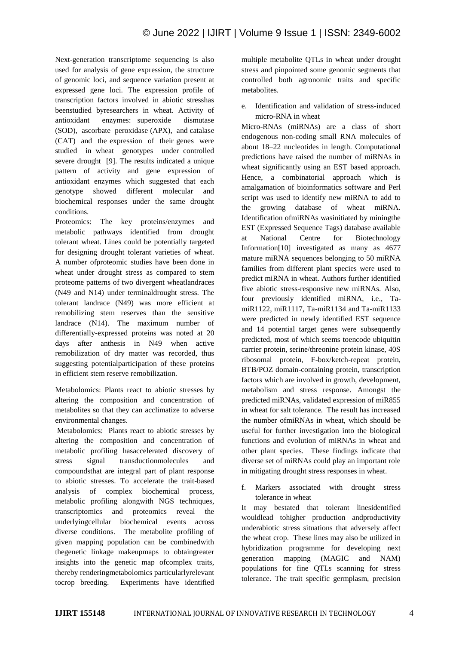Next-generation transcriptome sequencing is also used for analysis of gene expression, the structure of genomic loci, and sequence variation present at expressed gene loci. The expression profile of transcription factors involved in abiotic stresshas beenstudied byresearchers in wheat. Activity of antioxidant enzymes: superoxide dismutase (SOD), ascorbate peroxidase (APX), and catalase (CAT) and the expression of their genes were studied in wheat genotypes under controlled severe drought [9]. The results indicated a unique pattern of activity and gene expression of antioxidant enzymes which suggested that each genotype showed different molecular and biochemical responses under the same drought conditions.

Proteomics: The key proteins/enzymes and metabolic pathways identified from drought tolerant wheat. Lines could be potentially targeted for designing drought tolerant varieties of wheat. A number ofproteomic studies have been done in wheat under drought stress as compared to stem proteome patterns of two divergent wheatlandraces (N49 and N14) under terminaldrought stress. The tolerant landrace (N49) was more efficient at remobilizing stem reserves than the sensitive landrace (N14). The maximum number of differentially-expressed proteins was noted at 20 days after anthesis in N49 when active remobilization of dry matter was recorded, thus suggesting potentialparticipation of these proteins in efficient stem reserve remobilization.

Metabolomics: Plants react to abiotic stresses by altering the composition and concentration of metabolites so that they can acclimatize to adverse environmental changes.

Metabolomics: Plants react to abiotic stresses by altering the composition and concentration of metabolic profiling hasaccelerated discovery of stress signal transductionmolecules and compoundsthat are integral part of plant response to abiotic stresses. To accelerate the trait-based analysis of complex biochemical process, metabolic profiling alongwith NGS techniques, transcriptomics and proteomics reveal the underlyingcellular biochemical events across diverse conditions. The metabolite profiling of given mapping population can be combinedwith thegenetic linkage makeupmaps to obtaingreater insights into the genetic map ofcomplex traits, thereby renderingmetabolomics particularlyrelevant tocrop breeding. Experiments have identified

multiple metabolite QTLs in wheat under drought stress and pinpointed some genomic segments that controlled both agronomic traits and specific metabolites.

e. Identification and validation of stress-induced micro-RNA in wheat

Micro-RNAs (miRNAs) are a class of short endogenous non-coding small RNA molecules of about 18–22 nucleotides in length. Computational predictions have raised the number of miRNAs in wheat significantly using an EST based approach. Hence, a combinatorial approach which is amalgamation of bioinformatics software and Perl script was used to identify new miRNA to add to the growing database of wheat miRNA. Identification ofmiRNAs wasinitiated by miningthe EST (Expressed Sequence Tags) database available at National Centre for Biotechnology Information[10] investigated as many as 4677 mature miRNA sequences belonging to 50 miRNA families from different plant species were used to predict miRNA in wheat. Authors further identified five abiotic stress-responsive new miRNAs. Also, four previously identified miRNA, i.e., TamiR1122, miR1117, Ta-miR1134 and Ta-miR1133 were predicted in newly identified EST sequence and 14 potential target genes were subsequently predicted, most of which seems toencode ubiquitin carrier protein, serine/threonine protein kinase, 40S ribosomal protein, F-box/ketch-repeat protein, BTB/POZ domain-containing protein, transcription factors which are involved in growth, development, metabolism and stress response. Amongst the predicted miRNAs, validated expression of miR855 in wheat for salt tolerance. The result has increased the number ofmiRNAs in wheat, which should be useful for further investigation into the biological functions and evolution of miRNAs in wheat and other plant species. These findings indicate that diverse set of miRNAs could play an important role in mitigating drought stress responses in wheat.

f. Markers associated with drought stress tolerance in wheat

It may bestated that tolerant linesidentified wouldlead tohigher production andproductivity underabiotic stress situations that adversely affect the wheat crop. These lines may also be utilized in hybridization programme for developing next generation mapping (MAGIC and NAM) populations for fine QTLs scanning for stress tolerance. The trait specific germplasm, precision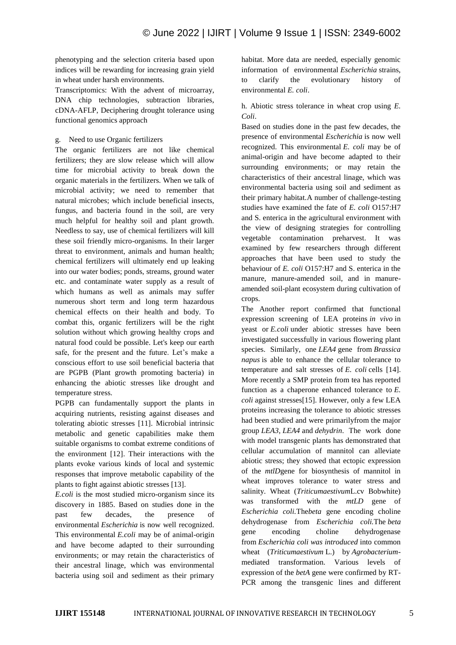phenotyping and the selection criteria based upon indices will be rewarding for increasing grain yield in wheat under harsh environments.

Transcriptomics: With the advent of microarray, DNA chip technologies, subtraction libraries, cDNA-AFLP, Deciphering drought tolerance using functional genomics approach

g. Need to use Organic fertilizers

The organic fertilizers are not like chemical fertilizers; they are slow release which will allow time for microbial activity to break down the organic materials in the fertilizers. When we talk of microbial activity; we need to remember that natural microbes; which include beneficial insects, fungus, and bacteria found in the soil, are very much helpful for healthy soil and plant growth. Needless to say, use of chemical fertilizers will kill these soil friendly micro-organisms. In their larger threat to environment, animals and human health; chemical fertilizers will ultimately end up leaking into our water bodies; ponds, streams, ground water etc. and contaminate water supply as a result of which humans as well as animals may suffer numerous short term and long term hazardous chemical effects on their health and body. To combat this, organic fertilizers will be the right solution without which growing healthy crops and natural food could be possible. Let's keep our earth safe, for the present and the future. Let's make a conscious effort to use soil beneficial bacteria that are PGPB (Plant growth promoting bacteria) in enhancing the abiotic stresses like drought and temperature stress.

PGPB can fundamentally support the plants in acquiring nutrients, resisting against diseases and tolerating abiotic stresses [11]. Microbial intrinsic metabolic and genetic capabilities make them suitable organisms to combat extreme conditions of the environment [12]. Their interactions with the plants evoke various kinds of local and systemic responses that improve metabolic capability of the plants to fight against abiotic stresses [13].

*E.coli* is the most studied micro-organism since its discovery in 1885. Based on studies done in the past few decades, the presence of environmental *Escherichia* is now well recognized. This environmental *E.coli* may be of animal-origin and have become adapted to their surrounding environments; or may retain the characteristics of their ancestral linage, which was environmental bacteria using soil and sediment as their primary

habitat. More data are needed, especially genomic information of environmental *Escherichia* strains, to clarify the evolutionary history of environmental *E. coli*.

h. Abiotic stress tolerance in wheat crop using *E. Coli*.

Based on studies done in the past few decades, the presence of environmental *Escherichia* is now well recognized. This environmental *E. coli* may be of animal-origin and have become adapted to their surrounding environments; or may retain the characteristics of their ancestral linage, which was environmental bacteria using soil and sediment as their primary habitat.A number of challenge-testing studies have examined the fate of *E. coli* O157:H7 and S. enterica in the agricultural environment with the view of designing strategies for controlling vegetable contamination preharvest. It was examined by few researchers through different approaches that have been used to study the behaviour of *E. coli* O157:H7 and S. enterica in the manure, manure-amended soil, and in manureamended soil-plant ecosystem during cultivation of crops.

The Another report confirmed that functional expression screening of LEA proteins *in vivo* in yeast or *E.coli* under abiotic stresses have been investigated successfully in various flowering plant species. Similarly, one *LEA4* gene from *Brassica napus* is able to enhance the cellular tolerance to temperature and salt stresses of *E. coli* cells [14]. More recently a SMP protein from tea has reported function as a chaperone enhanced tolerance to *E. coli* against stresses[15]. However, only a few LEA proteins increasing the tolerance to abiotic stresses had been studied and were primarilyfrom the major group *LEA3*, *LEA4* and *dehydrin*. The work done with model transgenic plants has demonstrated that cellular accumulation of mannitol can alleviate abiotic stress; they showed that ectopic expression of the *mtlD*gene for biosynthesis of mannitol in wheat improves tolerance to water stress and salinity. Wheat (*Triticumaestivum*L.cv Bobwhite) was transformed with the *mtLD* gene of *Escherichia coli.*The*beta* gene encoding choline dehydrogenase from *Escherichia coli.*The *beta*  gene encoding choline dehydrogenase from *Escherichia coli was introduced* into common wheat (*Triticumaestivum* L.) by *Agrobacterium*mediated transformation. Various levels of expression of the *betA* gene were confirmed by RT-PCR among the transgenic lines and different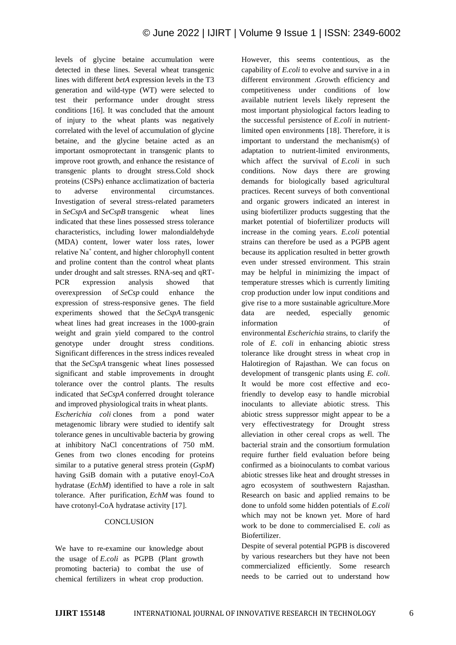levels of glycine betaine accumulation were detected in these lines. Several wheat transgenic lines with different *betA* expression levels in the T3 generation and wild-type (WT) were selected to test their performance under drought stress conditions [16]. It was concluded that the amount of injury to the wheat plants was negatively correlated with the level of accumulation of glycine betaine, and the glycine betaine acted as an important osmoprotectant in transgenic plants to improve root growth, and enhance the resistance of transgenic plants to drought stress.Cold shock proteins (CSPs) enhance acclimatization of bacteria to adverse environmental circumstances. Investigation of several stress-related parameters in *SeCspA* and *SeCspB* transgenic wheat lines indicated that these lines possessed stress tolerance characteristics, including lower malondialdehyde (MDA) content, lower water loss rates, lower relative  $Na<sup>+</sup>$  content, and higher chlorophyll content and proline content than the control wheat plants under drought and salt stresses. RNA-seq and qRT-PCR expression analysis showed that overexpression of *SeCsp* could enhance the expression of stress-responsive genes. The field experiments showed that the *SeCspA* transgenic wheat lines had great increases in the 1000-grain weight and grain yield compared to the control genotype under drought stress conditions. Significant differences in the stress indices revealed that the *SeCspA* transgenic wheat lines possessed significant and stable improvements in drought tolerance over the control plants. The results indicated that *SeCspA* conferred drought tolerance and improved physiological traits in wheat plants.

*Escherichia coli* clones from a pond water metagenomic library were studied to identify salt tolerance genes in uncultivable bacteria by growing at inhibitory NaCl concentrations of 750 mM. Genes from two clones encoding for proteins similar to a putative general stress protein (*GspM*) having GsiB domain with a putative enoyl-CoA hydratase (*EchM*) identified to have a role in salt tolerance. After purification, *EchM* was found to have crotonyl-CoA hydratase activity [17].

## **CONCLUSION**

We have to re-examine our knowledge about the usage of *E.coli* as PGPB (Plant growth promoting bacteria) to combat the use of chemical fertilizers in wheat crop production.

However, this seems contentious, as the capability of *E.coli* to evolve and survive in a in different environment .Growth efficiency and competitiveness under conditions of low available nutrient levels likely represent the most important physiological factors leading to the successful persistence of *E.coli* in nutrientlimited open environments [18]. Therefore, it is important to understand the mechanism(s) of adaptation to nutrient-limited environments, which affect the survival of *E.coli* in such conditions. Now days there are growing demands for biologically based agricultural practices. Recent surveys of both conventional and organic growers indicated an interest in using biofertilizer products suggesting that the market potential of biofertilizer products will increase in the coming years. *E.coli* potential strains can therefore be used as a PGPB agent because its application resulted in better growth even under stressed environment. This strain may be helpful in minimizing the impact of temperature stresses which is currently limiting crop production under low input conditions and give rise to a more sustainable agriculture.More data are needed, especially genomic information of environmental *Escherichia* strains, to clarify the role of *E. coli* in enhancing abiotic stress tolerance like drought stress in wheat crop in Halotiregion of Rajasthan. We can focus on development of transgenic plants using *E. coli*. It would be more cost effective and ecofriendly to develop easy to handle microbial inoculants to alleviate abiotic stress. This abiotic stress suppressor might appear to be a very effectivestrategy for Drought stress alleviation in other cereal crops as well. The bacterial strain and the consortium formulation require further field evaluation before being confirmed as a bioinoculants to combat various abiotic stresses like heat and drought stresses in agro ecosystem of southwestern Rajasthan. Research on basic and applied remains to be done to unfold some hidden potentials of *E.coli* which may not be known yet. More of hard work to be done to commercialised E. *coli* as Biofertilizer.

Despite of several potential PGPB is discovered by various researchers but they have not been commercialized efficiently. Some research needs to be carried out to understand how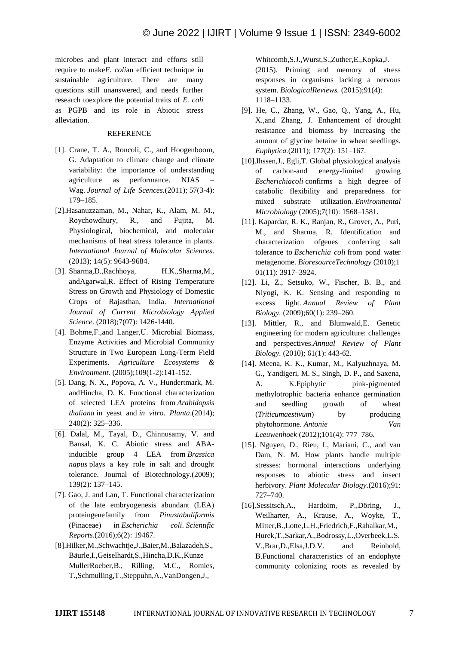microbes and plant interact and efforts still require to make*E. coli*an efficient technique in sustainable agriculture. There are many questions still unanswered, and needs further research toexplore the potential traits of *E. coli* as PGPB and its role in Abiotic stress alleviation.

## **REFERENCE**

- [1]. Crane, T. A., Roncoli, C., and Hoogenboom, G. Adaptation to climate change and climate variability: the importance of understanding agriculture as performance. NJAS – Wag. *Journal of Life Scences.*(2011); 57(3-4): 179–185.
- [2].Hasanuzzaman, M., Nahar, K., Alam, M. M., Roychowdhury, R., and Fujita, M. Physiological, biochemical, and molecular mechanisms of heat stress tolerance in plants. *International Journal of Molecular Sciences*. (2013); 14(5): 9643-9684.
- [3]. Sharma,D.,Rachhoya, H.K.,Sharma,M., andAgarwal,R. Effect of Rising Temperature Stress on Growth and Physiology of Domestic Crops of Rajasthan, India. *International Journal of Current Microbiology Applied Science*. (2018);7(07): 1426-1440.
- [4]. Bohme,F.,and Langer,U. Microbial Biomass, Enzyme Activities and Microbial Community Structure in Two European Long-Term Field Experiments. *[Agriculture](https://www.researchgate.net/journal/Agriculture-Ecosystems-Environment-0167-8809) Ecosystems & [Environment.](https://www.researchgate.net/journal/Agriculture-Ecosystems-Environment-0167-8809)* (2005);109(1-2):141-152.
- [5]. Dang, N. X., Popova, A. V., Hundertmark, M. andHincha, D. K. Functional characterization of selected LEA proteins from *Arabidopsis thaliana* in yeast and *in vitro*. *Planta*.(2014); 240(2): 325–336.
- [6]. Dalal, M., Tayal, D., Chinnusamy, V. and Bansal, K. C. Abiotic stress and ABAinducible group 4 LEA from *Brassica napus* plays a key role in salt and drought tolerance. Journal of Biotechnology.(2009); 139(2): 137–145.
- [7]. Gao, J. and Lan, T. Functional characterization of the late embryogenesis abundant (LEA) proteingenefamily from *Pinustabuliformis* (Pinaceae) in *Escherichia coli*. *Scientific Reports*.(2016);6(2): 19467.
- [8].Hilker,M.,Schwachtje,J.,Baier,M.,Balazadeh,S., Bäurle,I.,Geiselhardt,S.,Hincha,D.K.,Kunze MullerRoeber,B., Rilling, M.C., Romies, T.,Schmulling,T.,Steppuhn,A.,VanDongen,J.,

Whitcomb,S.J.,Wurst,S.,Zuther,E.,Kopka,J. (2015). Priming and memory of stress responses in organisms lacking a nervous system. *BiologicalReviews.* (2015);91(4): 1118–1133.

- [9]. He, C., Zhang, W., Gao, Q., Yang, A., Hu, X.,and Zhang, J. Enhancement of drought resistance and biomass by increasing the amount of glycine betaine in wheat seedlings. *Euphytica.*(2011); 177(2): 151–167.
- [10].Ihssen,J., Egli,T. Global physiological analysis of carbon-and energy-limited growing *Escherichiacoli* confirms a high degree of catabolic flexibility and preparedness for mixed substrate utilization. *Environmental Microbiology* (2005);7(10): 1568–1581.
- [11]. Kapardar, R. K., Ranjan, R., Grover, A., Puri, M., and Sharma, R. Identification and characterization ofgenes conferring salt tolerance to *Escherichia coli* from pond water metagenome. *BioresourceTechnology* (2010);1 01(11): 3917–3924.
- [12]. Li, Z., Setsuko, W., Fischer, B. B., and Niyogi, K. K. Sensing and responding to excess light. *Annual Review of Plant Biology.* (2009);60(1): 239–260.
- [13]. Mittler, R., and Blumwald,E. Genetic engineering for modern agriculture: challenges and perspectives.*Annual Review of Plant Biology.* (2010); 61(1): 443-62.
- [14]. Meena, K. K., Kumar, M., Kalyuzhnaya, M. G., Yandigeri, M. S., Singh, D. P., and Saxena, A. K.Epiphytic pink-pigmented methylotrophic bacteria enhance germination and seedling growth of wheat (*Triticumaestivum*) by producing phytohormone. *Antonie Van Leeuwenhoek* (2012);101(4): 777–786.
- [15]. Nguyen, D., Rieu, I., Mariani, C., and van Dam, N. M. How plants handle multiple stresses: hormonal interactions underlying responses to abiotic stress and insect herbivory. *Plant Molecular Biology.*(2016);91: 727–740.
- [16].Sessitsch,A., Hardoim, P.,Döring, J., Weilharter, A., Krause, A., Woyke, T., Mitter,B.,Lotte,L.H.,Friedrich,F.,Rahalkar,M., Hurek,T.,Sarkar,A.,Bodrossy,L.,Overbeek,L.S. V.,Brar,D.,Elsa,J.D.V. and Reinhold, B.Functional characteristics of an endophyte community colonizing roots as revealed by